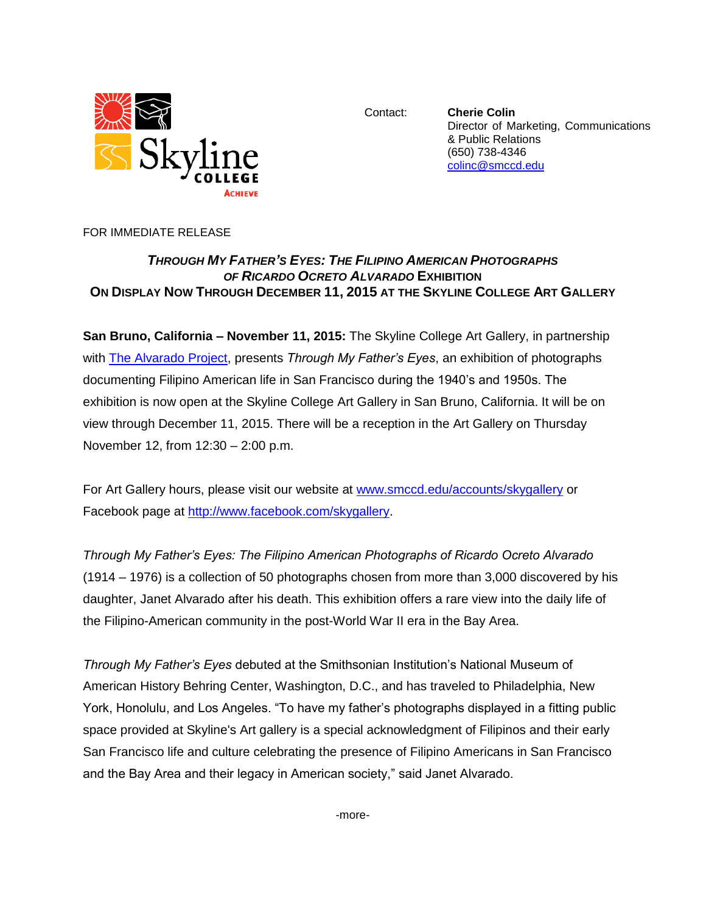

Contact: **Cherie Colin** Director of Marketing, Communications & Public Relations (650) 738-4346 [colinc@smccd.edu](mailto:colinc@smccd.edu)

FOR IMMEDIATE RELEASE

## *THROUGH MY FATHER'S EYES: THE FILIPINO AMERICAN PHOTOGRAPHS OF RICARDO OCRETO ALVARADO* **EXHIBITION ON DISPLAY NOW THROUGH DECEMBER 11, 2015 AT THE SKYLINE COLLEGE ART GALLERY**

**San Bruno, California – November 11, 2015:** The Skyline College Art Gallery, in partnership with [The Alvarado Project,](http://www.thealvaradoproject.com/compositions/index.html) presents *Through My Father's Eyes*, an exhibition of photographs documenting Filipino American life in San Francisco during the 1940's and 1950s. The exhibition is now open at the Skyline College Art Gallery in San Bruno, California. It will be on view through December 11, 2015. There will be a reception in the Art Gallery on Thursday November 12, from 12:30 – 2:00 p.m.

For Art Gallery hours, please visit our website at [www.smccd.edu/accounts/skygallery](http://www.smccd.edu/accounts/skygallery) or Facebook page at [http://www.facebook.com/skygallery.](http://www.facebook.com/skygallery)

*Through My Father's Eyes: The Filipino American Photographs of Ricardo Ocreto Alvarado* (1914 – 1976) is a collection of 50 photographs chosen from more than 3,000 discovered by his daughter, Janet Alvarado after his death. This exhibition offers a rare view into the daily life of the Filipino-American community in the post-World War II era in the Bay Area.

*Through My Father's Eyes* debuted at the Smithsonian Institution's National Museum of American History Behring Center, Washington, D.C., and has traveled to Philadelphia, New York, Honolulu, and Los Angeles. "To have my father's photographs displayed in a fitting public space provided at Skyline's Art gallery is a special acknowledgment of Filipinos and their early San Francisco life and culture celebrating the presence of Filipino Americans in San Francisco and the Bay Area and their legacy in American society," said Janet Alvarado.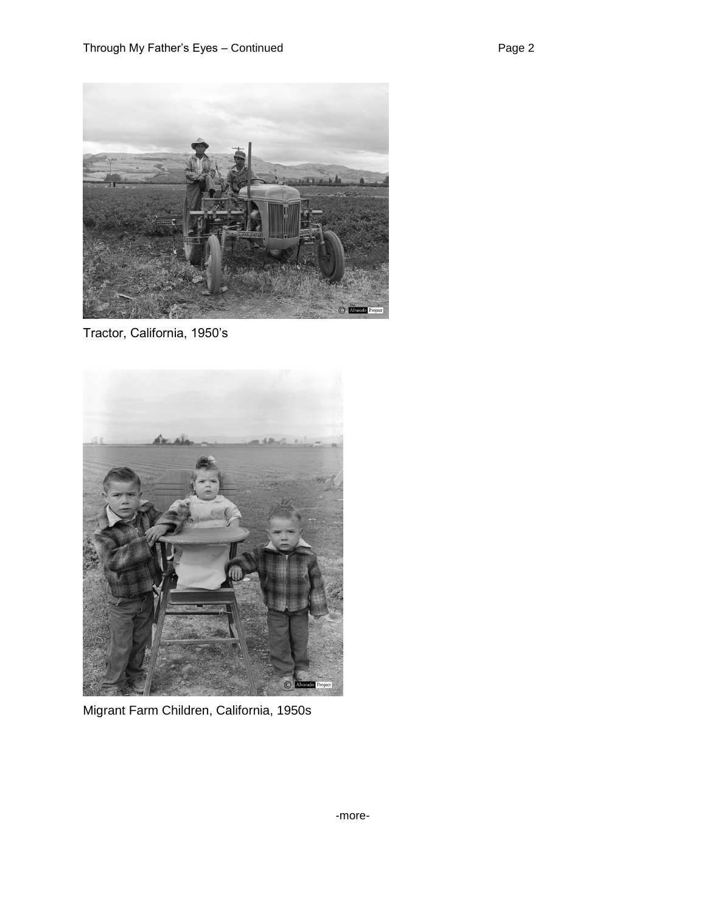

Tractor, California, 1950's



Migrant Farm Children, California, 1950s